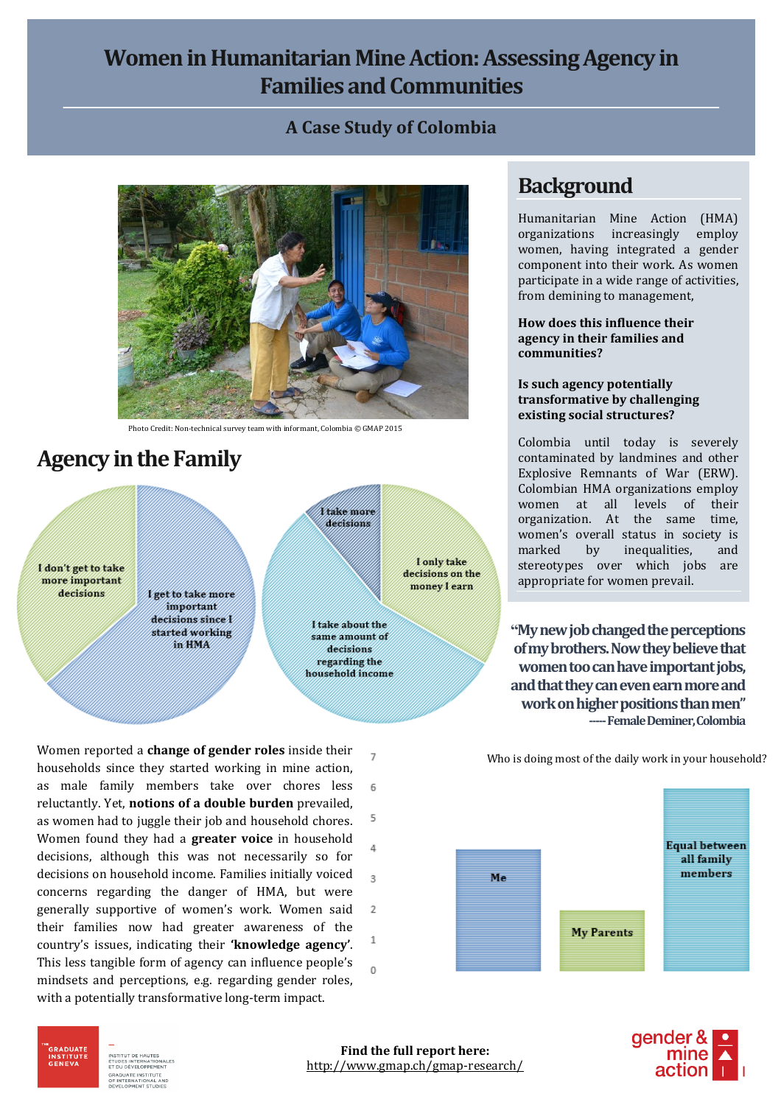## **Women in Humanitarian Mine Action: Assessing Agency in Families and Communities**

### **A Case Study of Colombia**



Photo Credit: Non-technical survey team with informant, Colombia © GMAP 2015

# **Agency in the Family**

I don't get to take more important decisions

I get to take more important decisions since I started working in HMA

I take about the same amount of decisions regarding the household income

I take more decisions

I only take

decisions on the

money learn

Women reported a **change of gender roles** inside their  $\overline{7}$ households since they started working in mine action, as male family members take over chores less 6 reluctantly. Yet, **notions of a double burden** prevailed, 5 as women had to juggle their job and household chores. Women found they had a **greater voice** in household  $\Delta$ decisions, although this was not necessarily so for decisions on household income. Families initially voiced  $\overline{3}$ concerns regarding the danger of HMA, but were generally supportive of women's work. Women said  $\overline{2}$ their families now had greater awareness of the  $\mathbf{1}$ country's issues, indicating their **'knowledge agency'**. This less tangible form of agency can influence people's  $\Omega$ mindsets and perceptions, e.g. regarding gender roles, with a potentially transformative long-term impact.

### **Background**

Humanitarian Mine Action (HMA) organizations increasingly employ women, having integrated a gender component into their work. As women participate in a wide range of activities, from demining to management,

**How does this influence their agency in their families and communities?**

#### **Is such agency potentially transformative by challenging existing social structures?**

Colombia until today is severely contaminated by landmines and other Explosive Remnants of War (ERW). Colombian HMA organizations employ women at all levels of their organization. At the same time, women's overall status in society is marked by inequalities, and stereotypes over which jobs are appropriate for women prevail.

**"My new job changed the perceptions of my brothers. Now they believe that women too can have important jobs, and that they can even earn more and work on higher positions than men" -----Female Deminer, Colombia**

Who is doing most of the daily work in your household?





INSTITUT DE HAUTES FUDES INTERNATI<br>F DU DÉVELOPPEN **NOUATE INSTITUTE** 

GRADUAT<mark>i</mark><br>INSTITUTI<br>GENEVA

**Find the full report here:** http://www.gmap.ch/gmap-research/